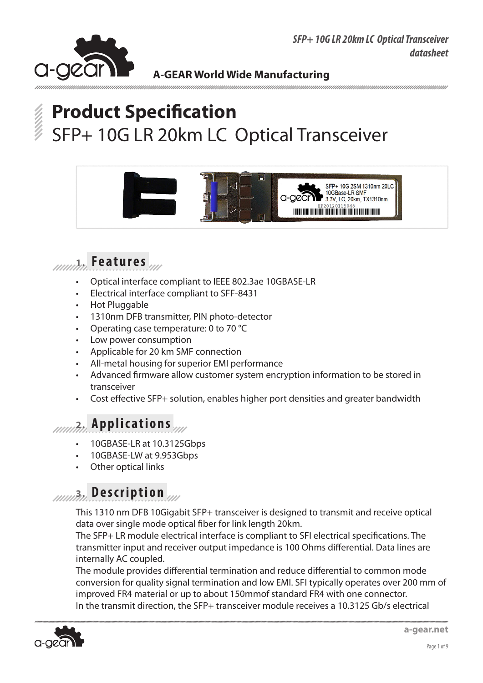



# **Product Specification** SFP+ 10G LR 20km LC Optical Transceiver





- Optical interface compliant to IEEE 802.3ae 10GBASE-LR
- Electrical interface compliant to SFF-8431
- **Hot Pluggable**
- 1310nm DFB transmitter, PIN photo-detector
- Operating case temperature: 0 to 70  $°C$
- Low power consumption
- Applicable for 20 km SMF connection
- All-metal housing for superior EMI performance
- Advanced firmware allow customer system encryption information to be stored in transceiver
- Cost effective SFP+ solution, enables higher port densities and greater bandwidth

## **2. Applications**

- 10GBASE-LR at 10.3125Gbps
- 10GBASE-LW at 9.953Gbps
- **Other optical links**

## **3. Description**

This 1310 nm DFB 10Gigabit SFP+ transceiver is designed to transmit and receive optical data over single mode optical fiber for link length 20km.

The SFP+ LR module electrical interface is compliant to SFI electrical specifications. The transmitter input and receiver output impedance is 100 Ohms differential. Data lines are internally AC coupled.

The module provides differential termination and reduce differential to common mode conversion for quality signal termination and low EMI. SFI typically operates over 200 mm of improved FR4 material or up to about 150mmof standard FR4 with one connector. In the transmit direction, the SFP+ transceiver module receives a 10.3125 Gb/s electrical

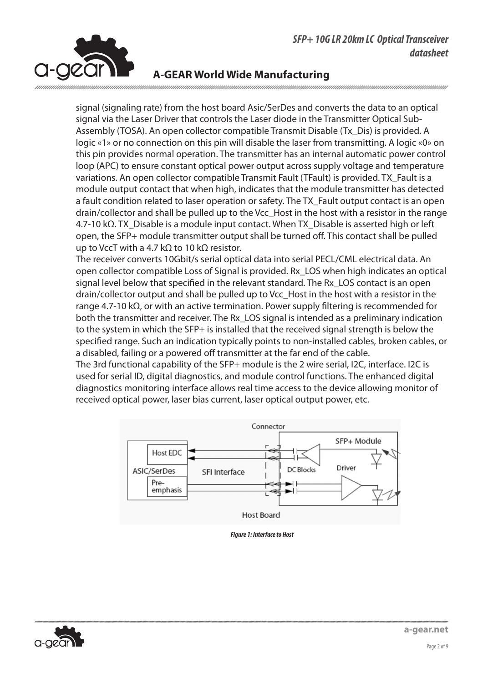**NWD SFP+** 



### **A-GEAR World Wide Manufacturing**

signal (signaling rate) from the host board Asic/SerDes and converts the data to an optical signal via the Laser Driver that controls the Laser diode in the Transmitter Optical Sub-Assembly (TOSA). An open collector compatible Transmit Disable (Tx\_Dis) is provided. A logic «1» or no connection on this pin will disable the laser from transmitting. A logic «0» on this pin provides normal operation. The transmitter has an internal automatic power control loop (APC) to ensure constant optical power output across supply voltage and temperature variations. An open collector compatible Transmit Fault (TFault) is provided. TX\_Fault is a module output contact that when high, indicates that the module transmitter has detected a fault condition related to laser operation or safety. The TX\_Fault output contact is an open drain/collector and shall be pulled up to the Vcc\_Host in the host with a resistor in the range 4.7-10 kΩ. TX\_Disable is a module input contact. When TX\_Disable is asserted high or left open, the SFP+ module transmitter output shall be turned off. This contact shall be pulled  $\frac{1}{\pi}$  to VccT with a 4.7 kΩ to 10 kΩ resistor.

The receiver converts 10Gbit/s serial optical data into serial PECL/CML electrical data. An open collector compatible Loss of Signal is provided. Rx\_LOS when high indicates an optical signal level below that specified in the relevant standard. The Rx\_LOS contact is an open drain/collector output and shall be pulled up to Vcc\_Host in the host with a resistor in the range 4.7-10 kΩ, or with an active termination. Power supply filtering is recommended for both the transmitter and receiver. The Rx\_LOS signal is intended as a preliminary indication to the system in which the SFP+ is installed that the received signal strength is below the specified range. Such an indication typically points to non-installed cables, broken cables, or a disabled, failing or a powered off transmitter at the far end of the cable.

The 3rd functional capability of the SFP+ module is the 2 wire serial, I2C, interface. I2C is used for serial ID, digital diagnostics, and module control functions. The enhanced digital diagnostics monitoring interface allows real time access to the device allowing monitor of received optical power, laser bias current, laser optical output power, etc.



*Figure 1: Interface to Host* **Figure 1: Interface to Host** 

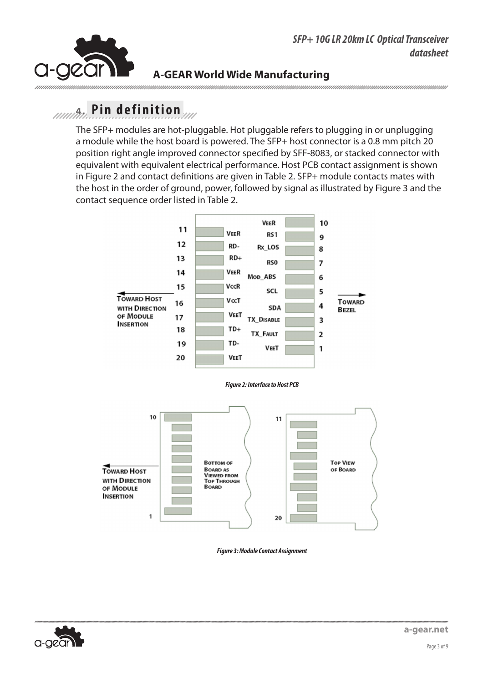

## **NWD SFP+ NWD SFP+ A-GEAR World Wide Manufacturing**

## **4. Pin definition Pin definition Pin definition**

The SFP+ modules are hot-pluggable. Hot pluggable refers to plugging in or unplugging a module while the host board is powered. The SFP+ host connector is a 0.8 mm pitch 20 position right angle improved connector specified by SFF-8083, or stacked connector with equivalent with equivalent electrical performance. Host PCB contact assignment is shown in Figure 2 and contact definitions are given in Table 2. SFP+ module contacts mates with the host in the order of ground, power, followed by signal as illustrated by Figure 3 and the contact sequence order listed in Table 2.



#### *Figure 2: Interface to Host PCB*



*Figure 3: Module Contact Assignment* 



TEL: 86-755-27450734 FAX: 86-755-27451353

Jun 5/ 2009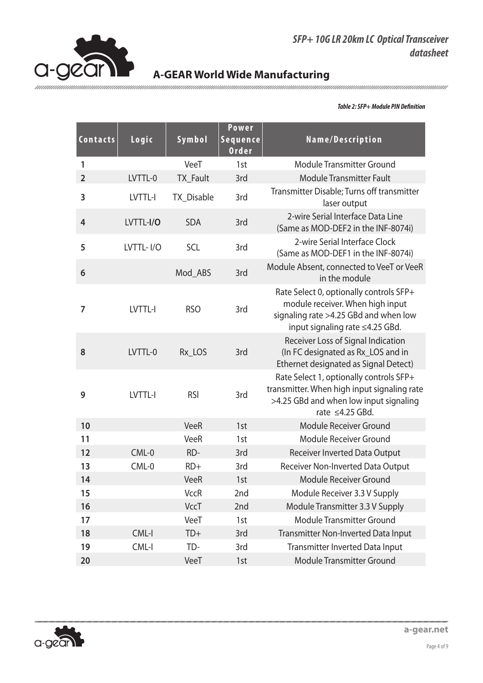

### *SFP+ 10G LR 20km LC Optical Transceiver datasheet*

## **A-GEAR World Wide Manufacturing**

#### *Table 2: SFP+ Module PIN Definition*

| Contacts       | Logic     | Symbol          | <b>Power</b><br>Sequence<br><b>Order</b> | Name/Description                                                                                                                                          |
|----------------|-----------|-----------------|------------------------------------------|-----------------------------------------------------------------------------------------------------------------------------------------------------------|
| 1              |           | VeeT            | 1st                                      | Module Transmitter Ground                                                                                                                                 |
| $\overline{2}$ | LVTTL-0   | <b>TX</b> Fault | 3rd                                      | <b>Module Transmitter Fault</b>                                                                                                                           |
| 3              | LVTTL-I   | TX_Disable      | 3rd                                      | Transmitter Disable; Turns off transmitter<br>laser output                                                                                                |
| $\overline{4}$ | LVTTL-I/O | <b>SDA</b>      | 3rd                                      | 2-wire Serial Interface Data Line<br>(Same as MOD-DEF2 in the INF-8074i)                                                                                  |
| 5              | LVTTL-I/O | <b>SCL</b>      | 3rd                                      | 2-wire Serial Interface Clock<br>(Same as MOD-DEF1 in the INF-8074i)                                                                                      |
| 6              |           | Mod ABS         | 3rd                                      | Module Absent, connected to VeeT or VeeR<br>in the module                                                                                                 |
| 7              | LVTTL-I   | <b>RSO</b>      | 3rd                                      | Rate Select 0, optionally controls SFP+<br>module receiver. When high input<br>signaling rate >4.25 GBd and when low<br>input signaling rate ≤4.25 GBd.   |
| 8              | LVTTL-0   | Rx_LOS          | 3rd                                      | Receiver Loss of Signal Indication<br>(In FC designated as Rx_LOS and in<br>Ethernet designated as Signal Detect)                                         |
| 9              | LVTTL-I   | <b>RSI</b>      | 3rd                                      | Rate Select 1, optionally controls SFP+<br>transmitter. When high input signaling rate<br>>4.25 GBd and when low input signaling<br>rate $\leq 4.25$ GBd. |
| 10             |           | <b>VeeR</b>     | 1st                                      | Module Receiver Ground                                                                                                                                    |
| 11             |           | VeeR            | 1st                                      | Module Receiver Ground                                                                                                                                    |
| 12             | $CML-0$   | RD-             | 3rd                                      | Receiver Inverted Data Output                                                                                                                             |
| 13             | $CML-0$   | $RD+$           | 3rd                                      | Receiver Non-Inverted Data Output                                                                                                                         |
| 14             |           | <b>VeeR</b>     | 1st                                      | Module Receiver Ground                                                                                                                                    |
| 15             |           | <b>VccR</b>     | 2nd                                      | Module Receiver 3.3 V Supply                                                                                                                              |
| 16             |           | VccT            | 2nd                                      | Module Transmitter 3.3 V Supply                                                                                                                           |
| 17             |           | VeeT            | 1st                                      | <b>Module Transmitter Ground</b>                                                                                                                          |
| 18             | CML-I     | $TD+$           | 3rd                                      | Transmitter Non-Inverted Data Input                                                                                                                       |
| 19             | CML-I     | TD-             | 3rd                                      | Transmitter Inverted Data Input                                                                                                                           |
| 20             |           | VeeT            | 1st                                      | Module Transmitter Ground                                                                                                                                 |

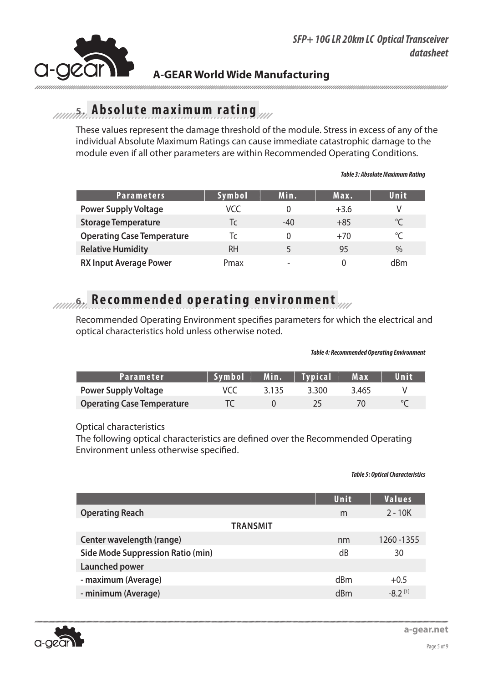

## **5. Absolute maximum rating**

These values represent the damage threshold of the module. Stress in excess of any of the individual Absolute Maximum Ratings can cause immediate catastrophic damage to the module even if all other parameters are within Recommended Operating Conditions.

| <b>Parameters</b>                 | Symbol | Min.                     | Max.   | Unit        |
|-----------------------------------|--------|--------------------------|--------|-------------|
| <b>Power Supply Voltage</b>       | VCC    |                          | $+3.6$ |             |
| <b>Storage Temperature</b>        | Tc     | $-40$                    | $+85$  | $^{\circ}C$ |
| <b>Operating Case Temperature</b> | Tc     |                          | $+70$  | $^{\circ}C$ |
| <b>Relative Humidity</b>          | RH     |                          | 95     | $\%$        |
| <b>RX Input Average Power</b>     | Pmax   | $\overline{\phantom{0}}$ |        | dBm         |

#### *Table 3: Absolute Maximum Rating*

## **6. Recommended operating environment**

Recommended Operating Environment specifies parameters for which the electrical and optical characteristics hold unless otherwise noted.

#### *Table 4: Recommended Operating Environment*

| Parameter                         | Svmbol |       | Min.   Typical | Max   | Unit |
|-----------------------------------|--------|-------|----------------|-------|------|
| <b>Power Supply Voltage</b>       |        | 3.135 | 3.300          | 3.465 |      |
| <b>Operating Case Temperature</b> |        |       | フト             |       |      |

#### Optical characteristics

The following optical characteristics are defined over the Recommended Operating Environment unless otherwise specified.

#### *Table 5: Optical Characteristics*

|                                          | Unit | <b>Values</b>         |
|------------------------------------------|------|-----------------------|
| <b>Operating Reach</b>                   | m    | $2 - 10K$             |
| <b>TRANSMIT</b>                          |      |                       |
| Center wavelength (range)                | nm   | 1260 - 1355           |
| <b>Side Mode Suppression Ratio (min)</b> | dB   | 30                    |
| Launched power                           |      |                       |
| - maximum (Average)                      | dBm  | $+0.5$                |
| - minimum (Average)                      | dRm  | $-8.2$ <sup>[1]</sup> |
|                                          |      |                       |



**a-gear.net**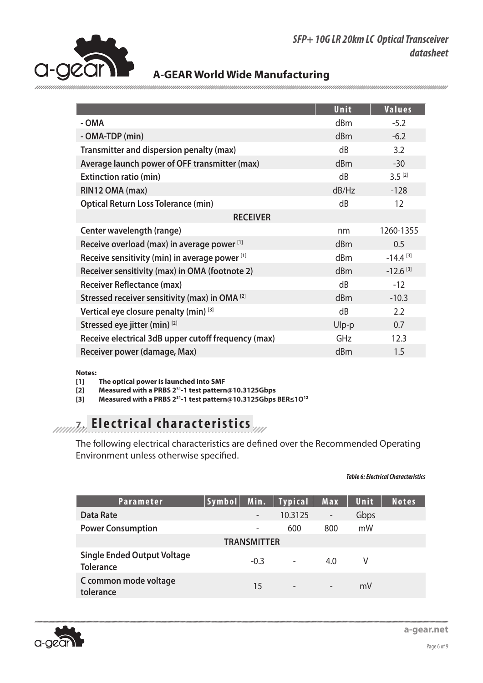*SFP+ 10G LR 20km LC Optical Transceiver datasheet*



### **A-GEAR World Wide Manufacturing**

|                                                           | Unit            | <b>Values</b>          |
|-----------------------------------------------------------|-----------------|------------------------|
| - OMA                                                     | dBm             | $-5.2$                 |
| - OMA-TDP (min)                                           | dBm             | $-6.2$                 |
| Transmitter and dispersion penalty (max)                  | dB              | 3.2                    |
| Average launch power of OFF transmitter (max)             | dBm             | $-30$                  |
| <b>Extinction ratio (min)</b>                             | dB              | $3.5^{[2]}$            |
| RIN12 OMA (max)                                           | dB/Hz           | $-128$                 |
| <b>Optical Return Loss Tolerance (min)</b>                | dB              | 12                     |
| <b>RECEIVER</b>                                           |                 |                        |
| Center wavelength (range)                                 | nm              | 1260-1355              |
| Receive overload (max) in average power [1]               | dBm             | 0.5                    |
| Receive sensitivity (min) in average power [1]            | d <sub>Bm</sub> | $-14.4$ <sup>[3]</sup> |
| Receiver sensitivity (max) in OMA (footnote 2)            | dBm             | $-12.6$ <sup>[3]</sup> |
| <b>Receiver Reflectance (max)</b>                         | dB              | $-12$                  |
| Stressed receiver sensitivity (max) in OMA <sup>[2]</sup> | dBm             | $-10.3$                |
| Vertical eye closure penalty (min) [3]                    | dB              | 2.2                    |
| Stressed eye jitter (min) [2]                             | Ulp-p           | 0.7                    |
| Receive electrical 3dB upper cutoff frequency (max)       | GHz             | 12.3                   |
| Receiver power (damage, Max)                              | dBm             | 1.5                    |
|                                                           |                 |                        |

#### **Notes:**

**[1] The optical power is launched into SMF**

**[2] Measured with a PRBS 231-1 test pattern@10.3125Gbps**

**[3] Measured with a PRBS 231-1 test pattern@10.3125Gbps BER≤1O12**

## **7. Electrical characteristics**

The following electrical characteristics are defined over the Recommended Operating Environment unless otherwise specified.

#### *Table 6: Electrical Characteristics*

| Parameter                                              | Symbol | Min.                     | Typical                  | Max                          | Unit | Notes |
|--------------------------------------------------------|--------|--------------------------|--------------------------|------------------------------|------|-------|
| <b>Data Rate</b>                                       |        | $\overline{\phantom{a}}$ | 10.3125                  | $\qquad \qquad \blacksquare$ | Gbps |       |
| <b>Power Consumption</b>                               |        | $\qquad \qquad$          | 600                      | 800                          | mW   |       |
|                                                        |        | <b>TRANSMITTER</b>       |                          |                              |      |       |
| <b>Single Ended Output Voltage</b><br><b>Tolerance</b> |        | $-0.3$                   | $\overline{\phantom{a}}$ | 4.0                          | V    |       |
| C common mode voltage<br>tolerance                     |        | 15                       | $\overline{\phantom{a}}$ | $\overline{\phantom{a}}$     | mV   |       |

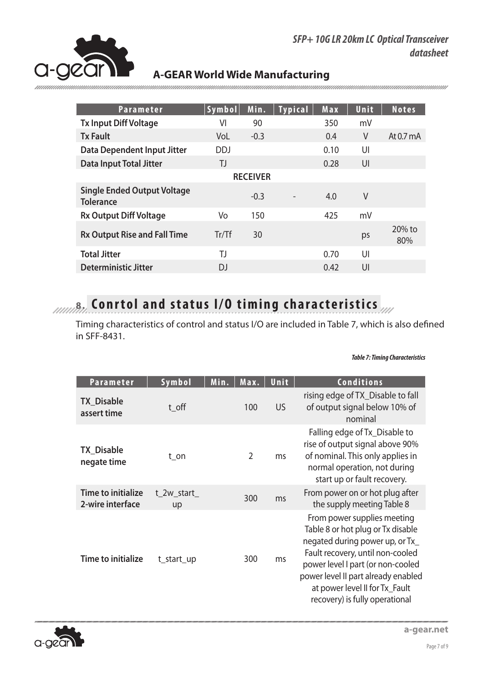

mmmmm

### **A-GEAR World Wide Manufacturing**

| <b>Parameter</b>                                       | Symbol           | Min.            | <b>Typical</b> | Max  | Unit | <b>Notes</b>        |
|--------------------------------------------------------|------------------|-----------------|----------------|------|------|---------------------|
| <b>Tx Input Diff Voltage</b>                           | VI               | 90              |                | 350  | mV   |                     |
| <b>Tx Fault</b>                                        | VoL              | $-0.3$          |                | 0.4  | V    | At $0.7 \text{ mA}$ |
| Data Dependent Input Jitter                            | <b>DDJ</b>       |                 |                | 0.10 | UI   |                     |
| <b>Data Input Total Jitter</b>                         | TJ               |                 |                | 0.28 | UI   |                     |
|                                                        |                  | <b>RECEIVER</b> |                |      |      |                     |
| <b>Single Ended Output Voltage</b><br><b>Tolerance</b> |                  | $-0.3$          |                | 4.0  | V    |                     |
| <b>Rx Output Diff Voltage</b>                          | Vo               | 150             |                | 425  | mV   |                     |
| <b>Rx Output Rise and Fall Time</b>                    | $Tr/\mathsf{T}f$ | 30              |                |      | ps   | $20\%$ to<br>80%    |
| <b>Total Jitter</b>                                    | TJ               |                 |                | 0.70 | UI   |                     |
| <b>Deterministic Jitter</b>                            | DJ               |                 |                | 0.42 | UI   |                     |

# *B***<sub>***IIIII***</sub></sub> <b>8.** Conrtol and status I/O timing characteristics

Timing characteristics of control and status I/O are included in Table 7, which is also defined in SFF-8431.

#### *Table 7: Timing Characteristics*

| Parameter                              | Symbol           | Min.<br>Max.   | Unit      | <b>Conditions</b>                                                                                                                                                                                                                                                                       |
|----------------------------------------|------------------|----------------|-----------|-----------------------------------------------------------------------------------------------------------------------------------------------------------------------------------------------------------------------------------------------------------------------------------------|
| <b>TX Disable</b><br>assert time       | t_off            | 100            | <b>US</b> | rising edge of TX_Disable to fall<br>of output signal below 10% of<br>nominal                                                                                                                                                                                                           |
| <b>TX_Disable</b><br>negate time       | t on             | $\overline{2}$ | ms        | Falling edge of Tx_Disable to<br>rise of output signal above 90%<br>of nominal. This only applies in<br>normal operation, not during<br>start up or fault recovery.                                                                                                                     |
| Time to initialize<br>2-wire interface | t 2w start<br>up | 300            | ms        | From power on or hot plug after<br>the supply meeting Table 8                                                                                                                                                                                                                           |
| <b>Time to initialize</b>              | t_start_up       | 300            | ms        | From power supplies meeting<br>Table 8 or hot plug or Tx disable<br>negated during power up, or Tx_<br>Fault recovery, until non-cooled<br>power level I part (or non-cooled<br>power level II part already enabled<br>at power level II for Tx_Fault<br>recovery) is fully operational |

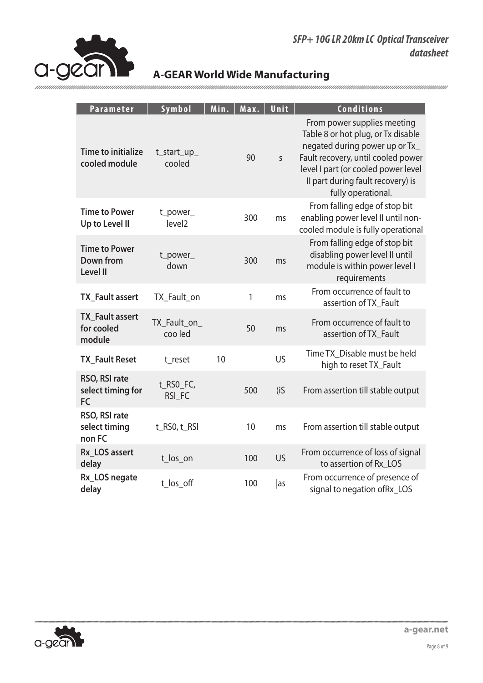

| Parameter                                            | Symbol                         | Min. | Max. | Unit         | Conditions                                                                                                                                                                                                                                  |
|------------------------------------------------------|--------------------------------|------|------|--------------|---------------------------------------------------------------------------------------------------------------------------------------------------------------------------------------------------------------------------------------------|
| <b>Time to initialize</b><br>cooled module           | t_start_up_<br>cooled          |      | 90   | $\mathsf{S}$ | From power supplies meeting<br>Table 8 or hot plug, or Tx disable<br>negated during power up or Tx_<br>Fault recovery, until cooled power<br>level I part (or cooled power level<br>Il part during fault recovery) is<br>fully operational. |
| <b>Time to Power</b><br>Up to Level II               | t_power_<br>level <sub>2</sub> |      | 300  | ms           | From falling edge of stop bit<br>enabling power level II until non-<br>cooled module is fully operational                                                                                                                                   |
| <b>Time to Power</b><br>Down from<br><b>Level II</b> | t_power_<br>down               |      | 300  | ms           | From falling edge of stop bit<br>disabling power level II until<br>module is within power level I<br>requirements                                                                                                                           |
| <b>TX_Fault assert</b>                               | TX Fault on                    |      | 1    | ms           | From occurrence of fault to<br>assertion of TX_Fault                                                                                                                                                                                        |
| <b>TX Fault assert</b><br>for cooled<br>module       | TX_Fault_on_<br>coo led        |      | 50   | ms           | From occurrence of fault to<br>assertion of TX_Fault                                                                                                                                                                                        |
| <b>TX_Fault Reset</b>                                | t reset                        | 10   |      | US           | Time TX_Disable must be held<br>high to reset TX_Fault                                                                                                                                                                                      |
| RSO, RSI rate<br>select timing for<br><b>FC</b>      | t_RSO_FC,<br>RSI_FC            |      | 500  | (iS)         | From assertion till stable output                                                                                                                                                                                                           |
| RSO, RSI rate<br>select timing<br>non FC             | t_RS0, t_RSI                   |      | 10   | ms           | From assertion till stable output                                                                                                                                                                                                           |
| Rx LOS assert<br>delay                               | t_los_on                       |      | 100  | <b>US</b>    | From occurrence of loss of signal<br>to assertion of Rx LOS                                                                                                                                                                                 |
| Rx_LOS negate<br>delay                               | t_los_off                      |      | 100  | as           | From occurrence of presence of<br>signal to negation ofRx_LOS                                                                                                                                                                               |